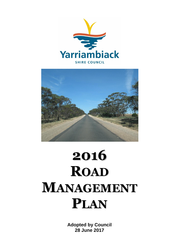



# **2016 ROAD MANAGEMENT PLAN**

**Adopted by Council 28 June 2017**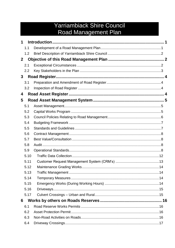## Yarriambiack Shire Council<br>Road Management Plan

| 1            |      |  |
|--------------|------|--|
|              | 1.1  |  |
|              | 1.2  |  |
| $\mathbf{2}$ |      |  |
|              | 2.1  |  |
|              | 2.2  |  |
| $\mathbf{3}$ |      |  |
|              | 3.1  |  |
|              | 3.2  |  |
| 4            |      |  |
| 5            |      |  |
|              | 5.1  |  |
|              | 5.2  |  |
|              | 5.3  |  |
|              | 5.4  |  |
|              | 5.5  |  |
|              | 5.6  |  |
|              | 5.7  |  |
|              | 5.8  |  |
|              | 5.9  |  |
|              | 5.10 |  |
|              | 5.11 |  |
|              | 5.12 |  |
|              | 5.13 |  |
|              | 5.14 |  |
|              | 5.15 |  |
|              | 5.16 |  |
|              | 5.17 |  |
| 6            |      |  |
|              | 6.1  |  |
|              | 6.2  |  |
|              | 6.3  |  |
|              | 6.4  |  |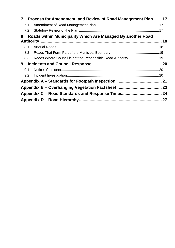| $\mathbf{7}$ | Process for Amendment and Review of Road Management Plan  17 |  |
|--------------|--------------------------------------------------------------|--|
| 7.1          |                                                              |  |
| 7.2          |                                                              |  |
| 8            | Roads within Municipality Which Are Managed By another Road  |  |
| 8.1          |                                                              |  |
| 8.2          |                                                              |  |
| 8.3          |                                                              |  |
| 9            |                                                              |  |
| 9.1          |                                                              |  |
| 9.2          |                                                              |  |
|              |                                                              |  |
|              |                                                              |  |
|              |                                                              |  |
|              |                                                              |  |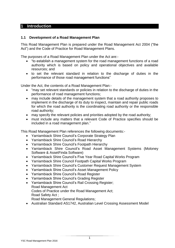## <span id="page-3-0"></span>**1 Introduction**

#### <span id="page-3-1"></span>**1.1 Development of a Road Management Plan**

This Road Management Plan is prepared under the Road Management Act 2004 ("the Act") and the Code of Practice for Road Management Plans.

The purposes of a Road Management Plan under the Act are:-

- "to establish a management system for the road management functions of a road authority which is based on policy and operational objectives and available resources; and
- to set the relevant standard in relation to the discharge of duties in the performance of those road management functions"

Under the Act, the contents of a Road Management Plan:-

- "may set relevant standards or policies in relation to the discharge of duties in the performance of road management functions;
- may include details of the management system that a road authority proposes to implement in the discharge of its duty to inspect, maintain and repair public roads for which the road authority is the coordinating road authority or the responsible road authority;
- may specify the relevant policies and priorities adopted by the road authority;
- must include any matters that a relevant Code of Practice specifies should be included in a road management plan."

This Road Management Plan references the following documents:-

- Yarriambiack Shire Council's Corporate Strategy Plan
- Yarriambiack Shire Council's Road Hierarchy
- Yarriambiack Shire Council's Footpath Hierarchy
- Yarriambiack Shire Council's Road Asset Management Systems (Moloney Software & AssetFinda Software)
- Yarriambiack Shire Council's Five Year Road Capital Works Program
- Yarriambiack Shire Council Footpath Capital Works Program
- Yarriambiack Shire Council's Customer Request Management System
- Yarriambiack Shire Council's Asset Management Policy
- Yarriambiack Shire Council's Road Register
- Yarriambiack Shire Council's Grading Register
- Yarriambiack Shire Council's Rail Crossing Register; Road Management Act Codes of Practice under the Road Management Act; Road Safety Act ; Road Management General Regulations;
- Australian Standard AS1742, Australian Level Crossing Assessment Model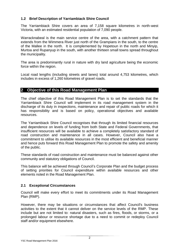#### <span id="page-4-0"></span>**1.2 Brief Description of Yarriambiack Shire Council**

The Yarriambiack Shire covers an area of 7,158 square kilometres in north-west Victoria, with an estimated residential population of 7,090 people.

Warracknabeal is the main service centre of the area, with a catchment pattern that extends from the Wimmera River just north of the Grampians in the south, to the centre of the Mallee in the north. It is complemented by Hopetoun in the north and Minyip, Murtoa and Rupanyup in the south, with another thirteen small towns spread throughout the municipality.

The area is predominantly rural in nature with dry land agriculture being the economic force within the region.

Local road lengths (including streets and lanes) total around 4,753 kilometres, which includes in excess of 1,260 kilometres of gravel roads.

#### <span id="page-4-1"></span>**2 Objective of this Road Management Plan**

The chief objective of this Road Management Plan is to set the standards that the Yarriambiack Shire Council will implement in its road management system in the discharge of its duty in inspections, maintenance and repair of public roads for which it has responsibility and is based on policy, operational objectives and available resources.

The Yarriambiack Shire Council recognises that through its limited financial resources and dependence on levels of funding from both State and Federal Governments, that insufficient resources will be available to achieve a completely satisfactory standard of road construction and maintenance in all cases. However, Council also have a commitment to utilise its available resources in the most efficient and beneficial manner and hence puts forward this Road Management Plan to promote the safety and amenity of the public.

These standards of road construction and maintenance must be balanced against other community and statutory obligations of Council.

This balance will be achieved through Council's Corporate Plan and the budget process of setting priorities for Council expenditure within available resources and other elements noted in the Road Management Plan.

#### <span id="page-4-2"></span>**2.1 Exceptional Circumstances**

Council will make every effort to meet its commitments under its Road Management Plan (RMP).

However, there may be situations or circumstances that affect Council's business activities to the extent that it cannot deliver on the service levels of the RMP. These include but are not limited to: natural disasters, such as fires, floods, or storms, or a prolonged labour or resource shortage due to a need to commit or redeploy Council staff and/or equipment elsewhere.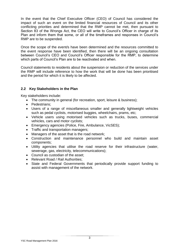In the event that the Chief Executive Officer (CEO) of Council has considered the impact of such an event on the limited financial resources of Council and its other conflicting priorities and determined that the RMP cannot be met, then pursuant to Section 83 of the Wrongs Act, the CEO will write to Council's Officer in charge of its Plan and inform them that some, or all of the timeframes and responses in Council's RMP are to be suspended.

Once the scope of the event/s have been determined and the resources committed to the event response have been identified, then there will be an ongoing consultation between Council's CEO and Council's Officer responsible for the RMP, to determine which parts of Council's Plan are to be reactivated and when.

Council statements to residents about the suspension or reduction of the services under the RMP will include reference to how the work that will be done has been prioritised and the period for which it is likely to be affected.

#### <span id="page-5-0"></span>**2.2 Key Stakeholders in the Plan**

Key stakeholders include:

- The community in general (for recreation, sport, leisure & business);
- Pedestrians;
- Users of a range of miscellaneous smaller and generally lightweight vehicles such as pedal cyclists, motorised buggies, wheelchairs, prams, etc;
- Vehicle users using motorised vehicles such as trucks, buses, commercial vehicles, cars and motor cyclists;
- Emergency agencies (Police, Fire, Ambulance, VicSES);
- Traffic and transportation managers;
- Managers of the asset that is the road network:
- Construction and maintenance personnel who build and maintain asset components;
- Utility agencies that utilise the road reserve for their infrastructure (water, sewerage, gas, electricity, telecommunications);
- Council as custodian of the asset;
- Relevant Road / Rail Authorities:
- State and Federal Governments that periodically provide support funding to assist with management of the network.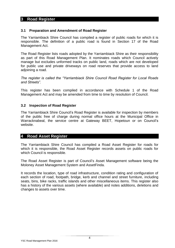## <span id="page-6-0"></span>**3 Road Register**

#### <span id="page-6-1"></span>**3.1 Preparation and Amendment of Road Register**

The Yarriambiack Shire Council has compiled a register of public roads for which it is responsible. The definition of a public road is found in Section 17 of the Road Management Act.

The Road Register lists roads adopted by the Yarriambiack Shire as their responsibility as part of this Road Management Plan. It nominates roads which Council actively manage but excludes unformed tracks on public land, roads which are not developed for public use and private driveways on road reserves that provide access to land adjoining a road.

*The register is called the "Yarriambiack Shire Council Road Register for Local Roads and Streets".*

This register has been compiled in accordance with Schedule 1 of the Road Management Act and may be amended from time to time by resolution of Council.

#### <span id="page-6-2"></span>**3.2 Inspection of Road Register**

The Yarriambiack Shire Council's Road Register is available for inspection by members of the public free of charge during normal office hours at the Municipal Office in Warracknabeal, the service centre at Gateway BEET, Hopetoun or on Council's website.

#### <span id="page-6-3"></span>**4 Road Asset Register**

The Yarriambiack Shire Council has compiled a Road Asset Register for roads for which it is responsible, the Road Asset Register records assets on public roads for which Council is responsible.

The Road Asset Register is part of Council's Asset Management software being the Moloney Asset Management System and AssetFinda.

It records the location, type of road infrastructure, condition rating and configuration of each section of road, footpath, bridge, kerb and channel and street furniture, including seats, bins, bike racks, traffic islands and other miscellaneous items. This register also has a history of the various assets (where available) and notes additions, deletions and changes to assets over time.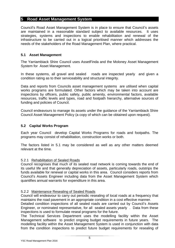## <span id="page-7-0"></span>**5 Road Asset Management System**

Council's Road Asset Management System is in place to ensure that Council's assets are maintained in a reasonable standard subject to available resources. It uses strategies, systems and inspections to enable rehabilitation and renewal of the infrastructure to be carried out in a logical prioritised manner which addresses the needs of the stakeholders of the Road Management Plan, where practical.

#### <span id="page-7-1"></span>**5.1 Asset Management**

The Yarriambiack Shire Council uses AssetFinda and the Moloney Asset Management System for Asset Management.

In these systems, all gravel and sealed roads are inspected yearly and given a condition rating as to their serviceability and structural integrity.

Data and reports from Councils asset management systems are utilised when capital works programs are formulated. Other factors which may be taken into account are inspections by officers, public safety, public amenity, environmental factors, available resources, traffic levels and types, road and footpath hierarchy, alternative sources of funding and policies of Council.

Council endeavours to manage its assets under the guidance of the Yarriambiack Shire Council Asset Management Policy (a copy of which can be obtained upon request).

#### <span id="page-7-2"></span>**5.2 Capital Works Program**

Each year Council develop Capital Works Programs for roads and footpaths. The programs may consist of rehabilitation, construction works or both.

The factors listed in 5.1 may be considered as well as any other matters deemed relevant at the time.

#### 5.2.1 Rehabilitation of Sealed Roads

Council recognises that much of its sealed road network is coming towards the end of its useful life and that generally depreciation of assets, particularly roads, outstrips the funds available for renewal or capital works in this area. Council considers reports from Council's Assets Engineer including data from the Asset Management System which quantifies annual warrants for expenditure in this area.

#### 5.2.2 Maintenance Resealing of Sealed Roads

Council will endeavour to carry out periodic resealing of local roads at a frequency that maintains the road pavement in an appropriate condition in a cost effective manner.

Detailed condition inspections of all sealed roads are carried out by Council's Assets Engineer, or nominated representative, for all sealed assets yearly . Data from these inspections is used to formulate reseal programs for the future.

The Technical Services Department uses the modelling facility within the Asset Management software to predict ongoing budget requirements in future years. The modelling facility within the Asset Management System is used in conjunction with data from the condition inspections to predict future budget requirements for resealing of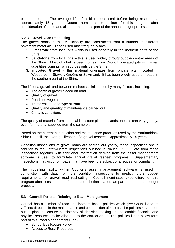bitumen roads. The average life of a bituminous seal before being resealed is approximately 15 years. Council nominates expenditure for this program after consideration of these and all other matters as part of the annual budget process.

#### 5.2.3 Gravel Road Resheeting

The gravel roads in this Municipality are constructed from a number of different pavement materials. Those used most frequently are:-

- 1. **Limestone** from local pits this is used generally in the northern parts of the Shire.
- 2. **Sandstone** from local pits this is used widely throughout the central areas of the Shire. Most of what is used comes from Council operated pits with small quantities coming from sources outside the Shire.
- 3. **Imported Gravel**  this material originates from private pits located in Wedderburn, Stawell, GreGre or St Arnaud. It has been widely used on roads in the southern part of the Shire.

The life of a gravel road between resheets is influenced by many factors, including:-

- The depth of gravel placed on road
- Quality of gravel
- Roadside vegetation
- Traffic volume and type of traffic
- Quality and quantity of maintenance carried out
- Climatic conditions

The quality of material from the local limestone pits and sandstone pits can vary greatly, even for material supplied from the same pit.

Based on the current construction and maintenance practices used by the Yarriambiack Shire Council, the average lifespan of a gravel resheet is approximately 15 years.

Condition inspections of gravel roads are carried out yearly, these inspections are in addition to the Safety/Defect Inspections outlined in clause 5.5.2. Data from these inspections together with additional information derived from the asset management software is used to formulate annual gravel resheet programs. Supplementary inspections may occur on roads that have been the subject of a request or complaint.

The modelling facility within Council's asset management software is used in conjunction with data from the condition inspections to predict future budget requirements for gravel road resheeting. Council nominates expenditure for this program after consideration of these and all other matters as part of the annual budget process.

#### <span id="page-8-0"></span>**5.3 Council Policies Relating to Road Management**

Council has a number of road and footpath based policies which give Council and its Officers direction in the maintenance and construction of assets. The policies have been put in place to ensure consistency of decision making and to enable financial and physical resources to be allocated to the correct areas. The policies listed below form part of this Road Management Plan:-

- School Bus Routes Policy
- Access to Rural Properties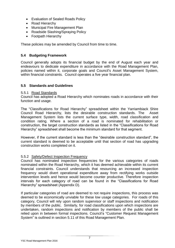- Evaluation of Sealed Roads Policy
- Road Hierarchy
- Municipal Fire Management Plan
- Roadside Slashing/Spraying Policy
- Footpath Hierarchy

These policies may be amended by Council from time to time.

#### <span id="page-9-0"></span>**5.4 Budgeting Framework**

Council generally adopts its financial budget by the end of August each year and endeavours to dedicate expenditure in accordance with the Road Management Plan, policies named within it, corporate goals and Council's Asset Management System, within financial constraints. Council operates a five year financial plan.

#### <span id="page-9-1"></span>**5.5 Standards and Guidelines**

#### 5.5.1 Road Standards

Council has adopted a Road Hierarchy which nominates roads in accordance with their function and usage.

The "Classifications for Road Hierarchy" spreadsheet within the Yarriambiack Shire Council Road Hierarchy, lists the desirable construction standards. The Asset Management System lists the current surface type, width, road classification and condition rating. Where a section of a road is nominated for rehabilitation or construction, the target construction standards as listed in the "Classifications for Road Hierarchy" spreadsheet shall become the minimum standard for that segment.

However, if the current standard is less than the "desirable construction standard", the current standard is deemed to be acceptable until that section of road has upgrading construction works completed on it.

#### 5.5.2 Safety/Defect Inspection Frequency

Council has nominated inspection frequencies for the various categories of roads nominated within the Road Hierarchy, which it has deemed achievable within its current financial constraints. Council understands that resourcing an increased inspection frequency would divert operational expenditure away from rectifying works outside intervention levels and hence would become counter productive. Therefore inspection intervals for each category of road can be found in the "Classifications for Road Hierarchy" spreadsheet (Appendix D).

If particular categories of road are deemed to not require inspections, this process was deemed to be economically unviable for these low usage categories. For roads of this category, Council will rely upon random supervisor or staff inspections and notification by members of the public. Similarly, for road classifications upon which inspections are undertaken, random inspections and notification by members of the public shall be relied upon in between formal inspections. Council's "Customer Request Management System" is outlined in section 5.11 of this Road Management Plan.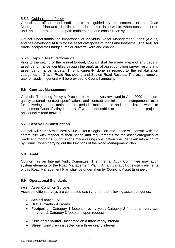#### 5.5.3 Guidance and Policy

Councillors, officers and staff are to be guided by the contents of this Road Management Plan and all policies and documents listed within, when consideration is undertaken for road and footpath maintenance and construction systems.

Council understands the importance of individual Asset Management Plans (AMP's) and has developed AMP's for the asset categories of roads and footpaths. The AMP for roads incorporates bridges, major culverts, kerb and channel.

#### 5.5.4 Gaps in Asset Performance

Prior to the setting of the annual budget, Council shall be made aware of any gaps in asset performance identified through the analysis of asset condition survey results and asset performance targets. This is currently done in respect to the rehabilitation categories of Gravel Road Resheeting and Sealed Road Reseals. The asset renewal gap for roads in general will be provided to Council annually.

#### <span id="page-10-0"></span>**5.6 Contract Management**

Council's Tendering Policy & Procedures Manual was reviewed in April 2009 to ensure quality assured contract specifications and contract administration arrangements exist for delivering routine maintenance, periodic maintenance and rehabilitation works to supplement Council's day labour staff where applicable, or to undertake other projects on Council's road network.

#### <span id="page-10-1"></span>**5.7 Best Value/Consultation**

Council will comply with Best Value Victoria Legislation and hence will consult with the community with respect to their needs and requirements for the asset categories of roads and footpaths. Submissions made during consultation shall be taken into account by Council when carrying out the functions of the Road Management Plan.

#### <span id="page-10-2"></span>**5.8 Audit**

Council has an Internal Audit Committee. The Internal Audit Committee may audit system elements of the Road Management Plan. An annual audit of system elements of this Road Management Plan shall be undertaken by Council's Asset Engineer.

#### <span id="page-10-3"></span>**5.9 Operational Standards**

#### 5.9.1 Asset Condition Surveys

Asset condition surveys are conducted each year for the following asset categories:-

- **Sealed roads** All roads
- **Gravel roads** All roads
- **Footpaths** Category 1 footpaths every year, Category 2 footpaths every two years & Category 3 footpaths upon request
- **Kerb and channel** inspected on a three yearly interval
- **Street furniture** inspected on a three yearly interval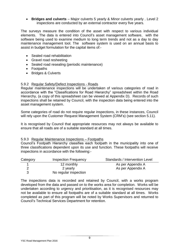**Bridges and culverts** – Major culverts 5 yearly & Minor culverts yearly . Level 2 inspections are conducted by an external contractor every five years.

The surveys measure the condition of the asset with respect to various individual elements. The data is entered into Council's asset management software, with the software being used to examine medium to long term trends and not as a day to day maintenance management tool. The software system is used on an annual basis to assist in budget formulation for the capital items of:-

- Sealed road rehabilitation
- Gravel road resheeting
- Sealed road resealing (periodic maintenance)
- Footpaths
- Bridges & Culverts

#### 5.9.2 Regular Safety/Defect Inspections - Roads

Regular maintenance inspections will be undertaken of various categories of road in accordance with the "Classifications for Road Hierarchy" spreadsheet within the Road Hierarchy, (a copy of this spreadsheet can be viewed at Appendix D). Records of such inspections shall be retained by Council, with the inspection data being entered into the asset management system.

Some categories of road do not require regular inspections, in these instances, Council will rely upon the Customer Request Management System (CRM's) (see section 5.11).

It is recognised by Council that appropriate resources may not always be available to ensure that all roads are of a suitable standard at all times.

#### 5.9.3 Regular Maintenance Inspections – Footpaths

Council's Footpath Hierarchy classifies each footpath in the municipality into one of three classifications dependent upon its use and function. These footpaths will receive inspections in accordance with the following:-

| Category | <b>Inspection Frequency</b> | Standards / Intervention Level |
|----------|-----------------------------|--------------------------------|
|          | 12 monthly                  | As per Appendix A              |
|          | 2 yearly                    | As per Appendix A              |
|          | No regular inspection       |                                |

The inspections data is recorded and retained by Council, with a works program developed from the data and passed on to the works area for completion. Works will be undertaken according to urgency and prioritisation, as it is recognised resources may not be available to ensure all footpaths are of a suitable standard at all times. Works completed as part of this program will be noted by Works Supervisors and returned to Council's Technical Services Department for retention.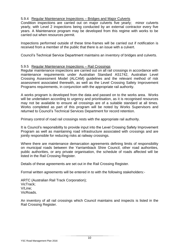#### 5.9.4 Regular Maintenance Inspections – Bridges and Major Culverts

Condition inspections are carried out on major culverts five yearly; minor culverts yearly, with Level 2 inspections being conducted by an external contractor every five years. A Maintenance program may be developed from this regime with works to be carried out when resources permit.

Inspections performed outside of these time-frames will be carried out if notification is received from a member of the public that there is an issue with a culvert.

Council's Technical Service Department maintains an inventory of bridges and culverts.

#### 5.9.5 Regular Maintenance Inspections – Rail Crossings

Regular maintenance inspections are carried out on all rail crossings in accordance with maintenance requirements under Australian Standard AS1742, Australian Level Crossing Assessment Model (ALCAM) guidelines and the relevant method of risk assessment associated therewith, as well as the Level Crossing Safety Improvement Programs requirements, in conjunction with the appropriate rail authority.

A works program is developed from the data and passed on to the works area. Works will be undertaken according to urgency and prioritisation, as it is recognised resources may not be available to ensure all crossings are of a suitable standard at all times. Works completed as part of this program will be noted by Works Supervisors and returned to Council's Technical Services Department for record retention.

Primary control of road rail crossings rests with the appropriate rail authority.

It is Council's responsibility to provide input into the Level Crossing Safety Improvement Program as well as maintaining road infrastructure associated with crossings and are jointly responsible for reducing risks at railway crossings.

Where there are maintenance demarcation agreements defining limits of responsibility on municipal roads between the Yarriambiack Shire Council, other road authorities, public authorities, or any private organisation, the schedule of roads affected will be listed in the Rail Crossing Register.

Details of these agreements are set out in the Rail Crossing Register.

Formal written agreements will be entered in to with the following stakeholders:-

ARTC (Australian Rail Track Corporation); VicTrack; V/Line; VicRoads.

An inventory of all rail crossings which Council maintains and inspects is listed in the Rail Crossing Register.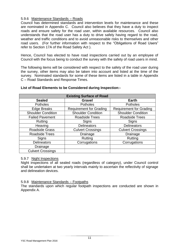#### 5.9.6 Maintenance Standards – Roads

Council has determined standards and intervention levels for maintenance and these are nominated in Appendix C. Council also believes that they have a duty to inspect roads and ensure safety for the road user, within available resources. Council also understands that the road user has a duty to drive safely having regard to the road, weather and traffic conditions and to avoid unreasonable risks to themselves and other road users. (For further information with respect to the "Obligations of Road Users" refer to Section 17A of the Road Safety Act ).

Hence, Council has elected to have road inspections carried out by an employee of Council with the focus being to conduct the survey with the safety of road users in mind.

The following items will be considered with respect to the safety of the road user during the survey, other items may also be taken into account and listed at the time of the survey. Nominated standards for some of these items are listed in a table in Appendix C – Road Standards and Response Times.

| <b>Existing Surface of Road</b> |                                |                                |  |  |  |  |
|---------------------------------|--------------------------------|--------------------------------|--|--|--|--|
| <b>Sealed</b>                   | <b>Gravel</b>                  | <b>Earth</b>                   |  |  |  |  |
| <b>Potholes</b>                 | <b>Potholes</b>                | <b>Potholes</b>                |  |  |  |  |
| <b>Edge Breaks</b>              | <b>Requirement for Grading</b> | <b>Requirement for Grading</b> |  |  |  |  |
| <b>Shoulder Condition</b>       | <b>Shoulder Condition</b>      | <b>Shoulder Condition</b>      |  |  |  |  |
| <b>Failed Pavement</b>          | <b>Roadside Trees</b>          | <b>Roadside Trees</b>          |  |  |  |  |
| Rutting                         | Signs                          | Signs                          |  |  |  |  |
| Heaving                         | <b>Delineators</b>             | <b>Delineators</b>             |  |  |  |  |
| Roadside Grass                  | <b>Culvert Crossings</b>       | <b>Culvert Crossings</b>       |  |  |  |  |
| <b>Roadside Trees</b>           | Drainage                       | Drainage                       |  |  |  |  |
| Signs                           | Rutting                        | Rutting                        |  |  |  |  |
| <b>Delineators</b>              | Corrugations                   | Corrugations                   |  |  |  |  |
| Drainage                        |                                |                                |  |  |  |  |
| <b>Culvert Crossings</b>        |                                |                                |  |  |  |  |

#### **List of Road Elements to be Considered during Inspection:-**

#### 5.9.7 Night Inspections

Night inspections of all sealed roads (regardless of category), under Council control shall be undertaken at two yearly intervals mainly to ascertain the reflectivity of signage and delineation devices.

#### 5.9.8 Maintenance Standards – Footpaths

The standards upon which regular footpath inspections are conducted are shown in Appendix A.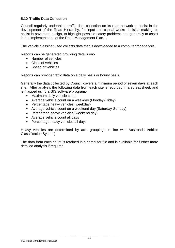#### <span id="page-14-0"></span>**5.10 Traffic Data Collection**

Council regularly undertakes traffic data collection on its road network to assist in the development of the Road Hierarchy, for input into capital works decision making, to assist in pavement design, to highlight possible safety problems and generally to assist in the implementation of the Road Management Plan. .

The vehicle classifier used collects data that is downloaded to a computer for analysis.

Reports can be generated providing details on:-

- Number of vehicles
- Class of vehicles
- Speed of vehicles

Reports can provide traffic data on a daily basis or hourly basis.

Generally the data collected by Council covers a minimum period of seven days at each site. After analysis the following data from each site is recorded in a spreadsheet: and is mapped using a GIS software program:-

- Maximum daily vehicle count
- Average vehicle count on a weekday (Monday-Friday)
- Percentage heavy vehicles (weekday)
- Average vehicle count on a weekend day (Saturday-Sunday)
- Percentage heavy vehicles (weekend day)
- Average vehicle count all days
- Percentage heavy vehicles all days.

Heavy vehicles are determined by axle groupings in line with Austroads Vehicle Classification System)

The data from each count is retained in a computer file and is available for further more detailed analysis if required.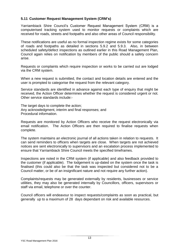#### <span id="page-15-0"></span>**5.11 Customer Request Management System (CRM's)**

Yarriambiack Shire Council's Customer Request Management System (CRM) is a computerised tracking system used to monitor requests or complaints which are received for roads, streets and footpaths and also other areas of Council responsibility.

These notifications are useful as no formal inspection regime exists for some categories of roads and footpaths as detailed in sections 5.9.2 and 5.9.3. Also, in between scheduled safety/defect inspections as outlined earlier in this Road Management Plan, Council again relies on notification by members of the public should a safety concern arise.

Requests or complaints which require inspection or works to be carried out are lodged via the CRM system.

When a new request is submitted, the contact and location details are entered and the user is prompted to categorise the request from the relevant category.

Service standards are identified in advance against each type of enquiry that might be received, the Action Officer determines whether the request is considered urgent or not. Other service standards include:-

The target days to complete the action; Any acknowledgment, interim and final responses; and Procedural information.

Requests are monitored by Action Officers who receive the request electronically via email notification. The Action Officers are then required to finalise requests when complete.

The system maintains an electronic journal of all actions taken in relation to requests. It can send reminders to officers when targets are close. When targets are not achieved notices are sent electronically to supervisors and an escalation process implemented to ensure that Yarriambiack Shire Council meets the specified timeframes.

Inspections are noted in the CRM system (if applicable) and also feedback provided to the customer (if applicable). The lodgement is up-dated on the system once the task is finalised (this could also be that the task was inspected but considered not to be a Council matter, or be of an insignificant nature and not require any further action).

Complaints/requests may be generated externally by residents, businesses or service utilities, they may also be generated internally by Councillors, officers, supervisors or staff via email, telephone or over the counter.

Council officers will endeavour to inspect requests/complaints as soon as practical, but generally up to a maximum of 28 days dependant on risk and available resources.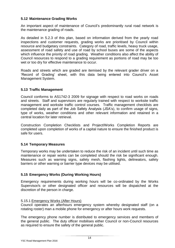#### <span id="page-16-0"></span>**5.12 Maintenance Grading Works**

An important aspect of maintenance of Council's predominantly rural road network is the maintenance grading of roads.

As detailed in 5.2.3 of this plan, based on information derived from the yearly road inspections and customer requests, grading works are prioritised by Council within resource and budgetary constraints. Category of road, traffic levels, heavy truck usage, assessment of road safety and use of road by school buses are some of the aspects which influence the priority of road grading. Weather conditions also affect the ability of Council resources to respond to a grading requirement as portions of road may be too wet or too dry for effective maintenance to occur.

Roads and streets which are graded are itemised by the relevant grader driver on a 'Record of Grading' sheet, with this data being entered into Council's Asset Management System.

#### <span id="page-16-1"></span>**5.13 Traffic Management**

Council conforms to AS1742-3 2009 for signage with respect to road works on roads and streets. Staff and supervisors are regularly trained with respect to worksite traffic management and worksite traffic control courses. Traffic management checklists are completed daily as part of the Job Safety Analysis (JSA's), to confirm usage of signs, type of works, weather conditions and other relevant information and retained in a central location for later retrieval.

Construction Completion Checklists and Project/Works Completion Reports are completed upon completion of works of a capital nature to ensure the finished product is safe for users.

#### <span id="page-16-2"></span>**5.14 Temporary Measures**

Temporary works may be undertaken to reduce the risk of an incident until such time as maintenance or repair works can be completed should the risk be significant enough. Measures such as warning signs, safety mesh, flashing lights, delineators, safety barriers or other warning or barrier type devices may be utilised.

#### <span id="page-16-3"></span>**5.15 Emergency Works (During Working Hours)**

Emergency requirements during working hours will be co-ordinated by the Works Supervisor/s or other designated officer and resources will be dispatched at the discretion of the person in charge.

#### 5.15.1 Emergency Works (After Hours)

Council operates an afterhours emergency system whereby designated staff (on a rotating roster) man a mobile phone for emergency or after hours work requests.

The emergency phone number is distributed to emergency services and members of the general public. The duty officer mobilises either Council or non-Council resources as required to ensure the safety of the general public.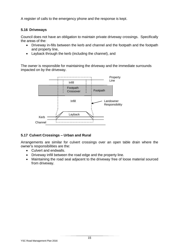A register of calls to the emergency phone and the response is kept.

#### <span id="page-17-0"></span>**5.16 Driveways**

Council does not have an obligation to maintain private driveway crossings. Specifically the areas of the:

- Driveway in-fills between the kerb and channel and the footpath and the footpath and property line,
- Layback through the kerb (including the channel), and

The owner is responsible for maintaining the driveway and the immediate surrounds impacted on by the driveway.



#### <span id="page-17-1"></span>**5.17 Culvert Crossings – Urban and Rural**

Arrangements are similar for culvert crossings over an open table drain where the owner's responsibilities are the:

- Culvert and endwalls.
- Driveway infill between the road edge and the property line.
- Maintaining the road seal adjacent to the driveway free of loose material sourced from driveway.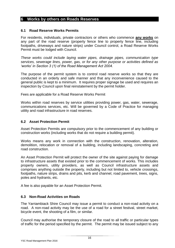## <span id="page-18-0"></span>**6 Works by others on Roads Reserves**

#### <span id="page-18-1"></span>**6.1 Road Reserve Works Permits**

For residents, individuals, private contractors or others who commence **any works** on any part of the road reserve (property fence line to property fence line, including footpaths, driveways and nature strips) under Council control, a Road Reserve Works Permit must be lodged with Council.

*These works could include laying water pipes, drainage pipes, communication type services, sewerage lines, power, gas, or for any other purpose or activities defined as 'works' in Section 3 (1) of the Road Management Act 2004.*

The purpose of the permit system is to control road reserve works so that they are conducted in an orderly and safe manner and that any inconvenience caused to the general public is kept to a minimum. It requires proper signage be used and requires an inspection by Council upon final reinstatement by the permit holder.

Fees are applicable for a Road Reserve Works Permit

Works within road reserves by service utilities providing power, gas, water, sewerage, communications services, etc. Will be governed by a Code of Practice for managing utility and road infrastructure in road reserves.

#### <span id="page-18-2"></span>**6.2 Asset Protection Permit**

Asset Protection Permits are compulsory prior to the commencement of any building or construction works (including works that do not require a building permit).

Works means any work in connection with the construction, renovation, alteration, demolition, relocation or removal of a building, including landscaping, concreting and road construction.

An Asset Protection Permit will protect the owner of the site against paying for damage to infrastructure assets that existed prior to the commencement of works. This includes property owners, utility providers, as well as Council infrastructure assets and comprises anything outside the property, including but not limited to, vehicle crossings, footpaths, nature strips, drains and pits, kerb and channel, road pavement, trees, signs, poles and hydrants, etc.

A fee is also payable for an Asset Protection Permit.

#### <span id="page-18-3"></span>**6.3 Non-Road Activities on Roads**

The Yarriambiack Shire Council may issue a permit to conduct a non-road activity on a road. A non-road activity may be the use of a road for a street festival, street market, bicycle event, the shooting of a film, or similar.

Council may authorise the temporary closure of the road to all traffic or particular types of traffic for the period specified by the permit. The permit may be issued subject to any

YSC Road Management Plan 2016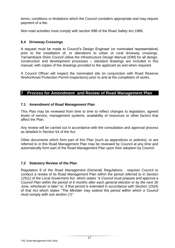terms, conditions or limitations which the Council considers appropriate and may require payment of a fee.

Non-road activities must comply with section 99B of the Road Safety Act 1986.

#### <span id="page-19-0"></span>**6.4 Driveway Crossings**

A request must be made to Council's Design Engineer (or nominated representative) prior to the installation of, or alterations to urban or rural driveway crossings. Yarriambiack Shire Council utilise the Infrastructure Design Manual (IDM) for all design, construction and development processes – standard drawings are included in this manual; with copies of the drawings provided to the applicant as and when required.

A Council Officer will inspect the nominated site (in conjunction with Road Reserve Works/Asset Protection Permit inspections) prior to and at the completion of works.

## <span id="page-19-1"></span>**7 Process for Amendment and Review of Road Management Plan**

#### <span id="page-19-2"></span>**7.1 Amendment of Road Management Plan**

This Plan may be reviewed from time to time to reflect changes to legislation, agreed levels of service, management systems, availability of resources or other factors that affect the Plan.

Any review will be carried out in accordance with the consultation and approval process as detailed in Section 54 of the Act.

Other documents which form part of this Plan (such as appendices or policies), or are referred to in this Road Management Plan may be reviewed by Council at any time and automatically form part of the Road Management Plan upon their adoption by Council.

#### <span id="page-19-3"></span>**7.2 Statutory Review of the Plan**

Regulation 8 of the Road Management (General) Regulations , requires Council to conduct a review of its Road Management Plan within the period referred to in Section 125(1) of the Local Goverment Act which states *"a Council must prepare and approve a Council Plan within the period of 6 months after each general election or by the next 30 June, whichever is later*" or, if that period is extended in accordance with Section 125(4) of that Act which states *"The Minister may extend the period within which a Council must comply with sub section (1)".*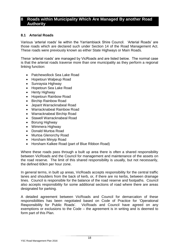#### <span id="page-20-0"></span>**8 Roads within Municipality Which Are Managed By another Road Authority**

#### <span id="page-20-1"></span>**8.1 Arterial Roads**

Various 'arterial roads' lie within the Yarriambiack Shire Council. 'Arterial Roads' are those roads which are declared such under Section 14 of the Road Management Act. These roads were previously known as either State Highways or Main Roads.

These 'arterial roads' are managed by VicRoads and are listed below. The normal case is that the arterial roads traverse more than one municipality as they perform a regional linking function:

- Patchewollock Sea Lake Road
- Hopetoun Walpeup Road
- Sunraysia Highway
- Hopetoun Sea Lake Road
- Henty Highway
- Hopetoun Rainbow Road
- Birchip Rainbow Road
- Jeparit Warracknabeal Road
- Warracknabeal Rainbow Road
- Warracknabeal Birchip Road
- Stawell Warracknabeal Road
- Borung Highway
- Wimmera Highway
- Donald Murtoa Road
- Murtoa Glenorchy Road
- Horsham Minyip Road
- Horsham Kalkee Road (part of Blue Ribbon Road)

Where these roads pass through a built up area there is often a shared responsibility between VicRoads and the Council for management and maintenance of the assets on the road reserve. The limit of this shared responsibility is usually, but not necessarily, the defined 60km per hour zone.

In general terms, in built up areas, VicRoads accepts responsibility for the central traffic lanes and shoulders from the back of kerb, or, if there are no kerbs, between drainage lines. Council is responsible for the balance of the road reserve and footpaths. Council also accepts responsibility for some additional sections of road where there are areas designated for parking.

A detailed agreement between VicRoads and Council for demarcation of these responsibilities has been negotiated based on Code of Practice for 'Operational Responsibility for Public Roads'. VicRoads and Council have agreed on any exemptions or exclusions to the Code – the agreement is in writing and is deemed to form part of this Plan.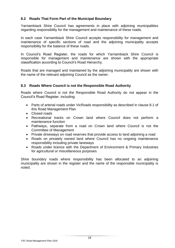#### <span id="page-21-0"></span>**8.2 Roads That Form Part of the Municipal Boundary**

Yarriambiack Shire Council has agreements in place with adjoining municipalities regarding responsibility for the management and maintenance of these roads.

In each case Yarriambiack Shire Council accepts responsibility for management and maintenance of specific sections of road and the adjoining municipality accepts responsibility for the balance of these roads.

In Council's Road Register, the roads for which Yarriambiack Shire Council is responsible for management and maintenance are shown with the appropriate classification according to Council's Road Hierarchy.

Roads that are managed and maintained by the adjoining municipality are shown with the name of the relevant adjoining Council as the owner.

#### <span id="page-21-1"></span>**8.3 Roads Where Council is not the Responsible Road Authority**

Roads where Council is not the Responsible Road Authority do not appear in the Council's Road Register, including:

- Parts of arterial roads under VicRoads responsibility as described in clause 8.1 of this Road Management Plan
- Closed roads
- Recreational tracks on Crown land where Council does not perform a maintenance function
- Pathways, separate from a road on Crown land where Council is not the Committee of Management
- Private driveways on road reserves that provide access to land adjoining a road
- Roads on privately owned land where Council has no ongoing maintenance responsibility including private laneways
- Roads under licence with the Department of Environment & Primary Industries for agricultural or miscellaneous purposes

Shire boundary roads where responsibility has been allocated to an adjoining municipality are shown in the register and the name of the responsible municipality is noted.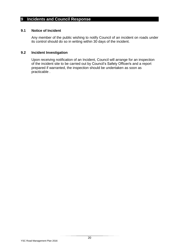## <span id="page-22-0"></span>**9 Incidents and Council Response**

#### <span id="page-22-1"></span>**9.1 Notice of Incident**

Any member of the public wishing to notify Council of an incident on roads under its control should do so in writing within 30 days of the incident.

#### <span id="page-22-2"></span>**9.2 Incident Investigation**

Upon receiving notification of an Incident, Council will arrange for an inspection of the incident site to be carried out by Council's Safety Officer/s and a report prepared if warranted, the inspection should be undertaken as soon as practicable .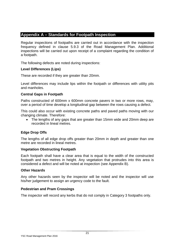## <span id="page-23-0"></span>**Appendix A – Standards for Footpath Inspection**

Regular inspections of footpaths are carried out in accordance with the inspection frequency defined in clause 5.9.3 of the Road Management Plan. Additional inspections will be carried out upon receipt of a complaint regarding the condition of a footpath.

The following defects are noted during inspections:

#### **Level Differences (Lips)**

These are recorded if they are greater than 20mm.

Level differences may include lips within the footpath or differences with utility pits and manholes.

#### **Central Gaps in Footpath**

Paths constructed of 600mm x 600mm concrete pavers in two or more rows, may, over a period of time develop a longitudinal gap between the rows causing a defect.

This could also occur with existing concrete paths and paved paths moving with our changing climate. Therefore:

 The lengths of any gaps that are greater than 15mm wide and 20mm deep are recorded in lineal metres.

#### **Edge Drop Offs**

The lengths of all edge drop offs greater than 20mm in depth and greater than one metre are recorded in lineal metres.

#### **Vegetation Obstructing Footpath**

Each footpath shall have a clear area that is equal to the width of the constructed footpath and two metres in height. Any vegetation that protrudes into this area is considered a defect and will be noted at inspection (see Appendix B).

#### **Other Hazards**

Any other hazards seen by the inspector will be noted and the inspector will use his/her judgement to assign an urgency code to the fault.

#### **Pedestrian and Pram Crossings**

The inspector will record any kerbs that do not comply in Category 3 footpaths only.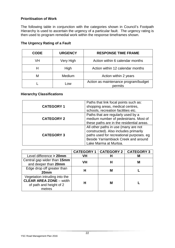#### **Prioritisation of Work**

The following table in conjunction with the categories shown in Council's Footpath Hierarchy is used to ascertain the urgency of a particular fault. The urgency rating is then used to program remedial work within the response timeframes shown.

| <b>CODE</b> | <b>URGENCY</b> | <b>RESPONSE TIME FRAME</b>                      |
|-------------|----------------|-------------------------------------------------|
| VH          | Very High      | Action within 6 calendar months                 |
|             | High           | Action within 12 calendar months                |
| М           | Medium         | Action within 2 years                           |
|             | Low            | Action as maintenance program/budget<br>permits |

#### **The Urgency Rating of a Fault**

#### **Hierarchy Classifications**

| <b>CATEGORY 1</b> | Paths that link focal points such as:<br>shopping areas, medical centres,<br>schools, recreation facilities etc.                                                                           |
|-------------------|--------------------------------------------------------------------------------------------------------------------------------------------------------------------------------------------|
| <b>CATEGORY 2</b> | Paths that are regularly used by a<br>medium number of pedestrians. Most of<br>these paths are in the residential areas.                                                                   |
| <b>CATEGORY 3</b> | All other paths in use (many are not<br>constructed). Also includes primarily<br>paths used for recreational purposes. eg<br>Beside Yarriambiack Creek and around<br>Lake Marma at Murtoa. |

|                                |    | <b>CATEGORY 1   CATEGORY 2  </b> | <b>CATEGORY 3</b> |
|--------------------------------|----|----------------------------------|-------------------|
| Level difference > 20mm        | VH | н                                | М                 |
| Central gap wider than 15mm    | VH | Н                                | М                 |
| and deeper than 20mm           |    |                                  |                   |
| Edge drop off greater than     |    | M                                |                   |
| 20 <sub>mm</sub>               |    |                                  |                   |
| Vegetation intruding into the  |    |                                  |                   |
| <b>CLEAR AREA ZONE - width</b> |    | M                                |                   |
| of path and height of 2        |    |                                  |                   |
| metres                         |    |                                  |                   |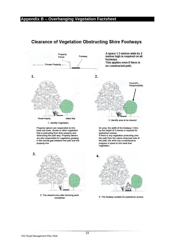## <span id="page-25-0"></span>**Appendix B – Overhanging Vegetation Factsheet**

## **Clearance of Vegetation Obstructing Shire Footways**



4. The footway suitable for pedestrian access

completed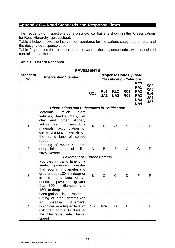## <span id="page-26-0"></span>**Appendix C – Road Standards and Response Times**

The frequency of inspections done on a cyclical basis is shown in the 'Classifications for Road Hierarchy' spreadsheet.

Table 1 below shows the intervention standards for the various categories of road and the designated response code.

Table 2 quantifies the response time relevant to the response codes with associated control mechanisms.

#### **Table 1 – Hazard Response**

| <b>PAVEMENTS</b>       |                                                                                                                                                                                                                                      |                                                                |              |                                    |                        |                                                                  |                                                                            |
|------------------------|--------------------------------------------------------------------------------------------------------------------------------------------------------------------------------------------------------------------------------------|----------------------------------------------------------------|--------------|------------------------------------|------------------------|------------------------------------------------------------------|----------------------------------------------------------------------------|
| <b>Standard</b><br>No. | <b>Intervention Standard</b>                                                                                                                                                                                                         | <b>Response Code By Road</b><br><b>Classification Category</b> |              |                                    |                        |                                                                  |                                                                            |
|                        |                                                                                                                                                                                                                                      | UC1                                                            | RL1<br>UA1   | RL <sub>2</sub><br>UA <sub>2</sub> | RC1<br>RC <sub>2</sub> | RC <sub>3</sub><br><b>RA1</b><br><b>RA2</b><br>RA3<br>UA3<br>UA4 | RA4<br><b>RA5</b><br>Ra <sub>6</sub><br>UA <sub>5</sub><br>UA <sub>6</sub> |
|                        | <b>Obstructions and Substances in Traffic Lane</b>                                                                                                                                                                                   |                                                                |              |                                    |                        |                                                                  |                                                                            |
| 1                      | fallen<br><b>Materials</b><br>from<br>vehicles, dead animals, wet<br>clay<br>and other<br>slippery<br>substances,<br>hazardous<br>materials, accumulation of<br>dirt or granular materials on<br>the traffic lane of sealed<br>roads | A                                                              | B            | $\mathsf{C}$                       | $\mathsf{C}$           | E                                                                | F                                                                          |
| $\overline{2}$         | Ponding of water >300mm<br>deep, fallen trees, oil spills,<br>stray livestock                                                                                                                                                        | A                                                              | В            | B                                  | $\mathsf{C}$           | $\mathsf{C}$                                                     | F                                                                          |
|                        | <b>Pavement or Surface Defects</b>                                                                                                                                                                                                   |                                                                |              |                                    |                        |                                                                  |                                                                            |
| 3                      | Potholes in traffic lane of a<br>sealed<br>pavement greater<br>than 300mm in diameter and<br>greater than 100mm deep or<br>in the traffic lane of an<br>unsealed pavement greater<br>than 500mm diameter and<br>150mm deep           | B                                                              | $\mathsf{C}$ | $\mathsf{C}$                       | D                      | F                                                                | F                                                                          |
| $\overline{4}$         | Corrugations, loose material,<br>rutting or other defects (on<br>unsealed<br>pavement)<br>an<br>which cause a higher level of<br>risk than normal to drive at<br>the 'desirable safe driving<br>speed'                               | N/A                                                            | N/A          | D                                  | E                      | E                                                                | F                                                                          |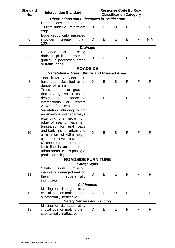| <b>Standard</b><br>No. | <b>Intervention Standard</b>                                                                                 | <b>Response Code By Road</b><br><b>Classification Category</b> |    |    |    |   |     |
|------------------------|--------------------------------------------------------------------------------------------------------------|----------------------------------------------------------------|----|----|----|---|-----|
|                        | <b>Obstructions and Substances in Traffic Lane</b>                                                           |                                                                |    |    |    |   |     |
| 5                      | Deformations greater than<br>100mm under a 3m straight<br>edge                                               | B                                                              | D  | D  | F  | F |     |
| 6                      | Edge drops onto unsealed<br>shoulder greater<br>than<br>100mm                                                | C                                                              | E. | E. | E. | F | N/A |
|                        | <b>Drainage</b>                                                                                              |                                                                |    |    |    |   |     |
|                        | missing<br>Damaged<br>or<br>drainage pit lids, surrounds,<br>grates, in pedestrian areas<br>or traffic lanes | B                                                              | C  | E. | F  | F |     |

## **ROADSIDE**

|                                    | Vegetation - Trees, Shrubs and Grassed Areas                                                                                                                                                                                                                                                                                                           |                     |   |   |   |   |   |
|------------------------------------|--------------------------------------------------------------------------------------------------------------------------------------------------------------------------------------------------------------------------------------------------------------------------------------------------------------------------------------------------------|---------------------|---|---|---|---|---|
| 8                                  | Tree limbs or trees that<br>have been classified as in<br>danger of falling                                                                                                                                                                                                                                                                            | D                   | E | Е | F | F | F |
| $9\,$                              | Trees, shrubs or grasses<br>that have grown to restrict<br>design sight<br>distance<br>to<br>intersections<br>restrict<br>or<br>viewing of safety signs                                                                                                                                                                                                | Е                   | E | E | F | F | F |
| 10                                 | Vegetation intruding within<br>an envelope over roadways<br>extending one metre from<br>edge of seal or pavement<br>(unsealed) for rural roads<br>and kerb line for urban and<br>a minimum of 4.5m height<br>clearance over pavement.<br>(A one metre intrusion post<br>kerb line is acceptable in<br>urban areas unless posing a<br>particular risk.) | D                   | Е | Е | F | F | F |
|                                    | <b>ROADSIDE FURNITURE</b>                                                                                                                                                                                                                                                                                                                              |                     |   |   |   |   |   |
|                                    |                                                                                                                                                                                                                                                                                                                                                        | <b>Safety Signs</b> |   |   |   |   |   |
| 11                                 | Safety<br>signs<br>missing,<br>illegible or damaged making<br>them<br>substantially<br>ineffective                                                                                                                                                                                                                                                     | D                   | E | E | F | F | F |
| <b>Guideposts</b>                  |                                                                                                                                                                                                                                                                                                                                                        |                     |   |   |   |   |   |
| 12                                 | Missing or damaged at a<br>critical location making them<br>substantially ineffective                                                                                                                                                                                                                                                                  | C                   | D | D | E | Е | F |
| <b>Safety Barriers and Fencing</b> |                                                                                                                                                                                                                                                                                                                                                        |                     |   |   |   |   |   |
| 13                                 | Missing or damaged at a<br>critical location making them<br>substantially ineffective                                                                                                                                                                                                                                                                  | C                   | E | Е | F | F | F |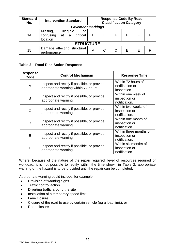| <b>Standard</b><br>No. | <b>Intervention Standard</b>                                          |   | <b>Response Code By Road</b><br><b>Classification Category</b> |  |   |   |  |
|------------------------|-----------------------------------------------------------------------|---|----------------------------------------------------------------|--|---|---|--|
|                        | <b>Pavement Markings</b>                                              |   |                                                                |  |   |   |  |
| 14                     | Missing,<br>illegible<br>or<br>confusing<br>at a critical<br>location | Е | E                                                              |  |   | F |  |
| <b>STRUCTURE</b>       |                                                                       |   |                                                                |  |   |   |  |
| 15                     | Damage affecting structural<br>performance                            | Α |                                                                |  | F | F |  |

#### **Table 2 – Road Risk Action Response**

| <b>Response</b><br>Code | <b>Control Mechanism</b>                                                           | <b>Response Time</b>                                     |
|-------------------------|------------------------------------------------------------------------------------|----------------------------------------------------------|
| A                       | Inspect and rectify if possible, or provide<br>appropriate warning within 72 hours | Within 72 hours of<br>notification or<br>inspection.     |
| B                       | Inspect and rectify if possible, or provide<br>appropriate warning                 | Within one week of<br>inspection or<br>notification.     |
| C                       | Inspect and rectify if possible, or provide<br>appropriate warning                 | Within two weeks of<br>inspection or<br>notification.    |
| D                       | Inspect and rectify if possible, or provide<br>appropriate warning                 | Within one month of<br>inspection or<br>notification.    |
| E                       | Inspect and rectify if possible, or provide<br>appropriate warning                 | Within three months of<br>inspection or<br>notification. |
| F                       | Inspect and rectify if possible, or provide<br>appropriate warning                 | Within six months of<br>inspection or<br>notification.   |

Where, because of the nature of the repair required, level of resources required or workload, it is not possible to rectify within the time shown in Table 2, appropriate warning of the hazard is to be provided until the repair can be completed.

Appropriate warning could include, for example:

- Provision of warning signs
- Traffic control action
- Diverting traffic around the site
- Installation of a temporary speed limit
- Lane closure
- Closure of the road to use by certain vehicle (eg a load limit), or
- Road closure